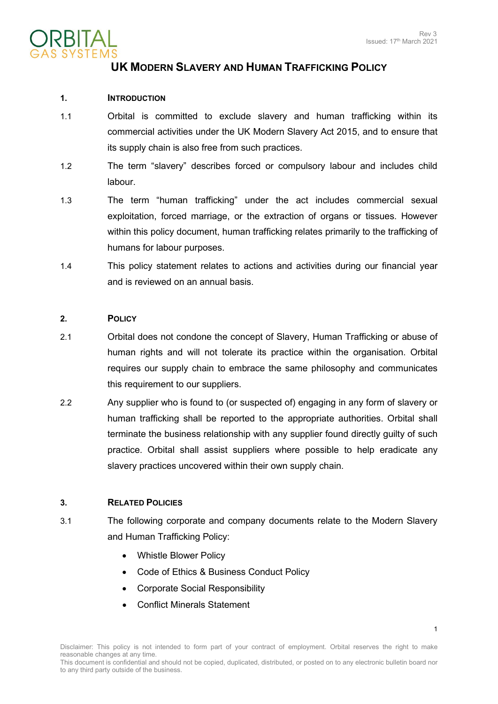1



# **UK MODERN SLAVERY AND HUMAN TRAFFICKING POLICY**

### **1. INTRODUCTION**

- 1.1 Orbital is committed to exclude slavery and human trafficking within its commercial activities under the UK Modern Slavery Act 2015, and to ensure that its supply chain is also free from such practices.
- 1.2 The term "slavery" describes forced or compulsory labour and includes child labour.
- 1.3 The term "human trafficking" under the act includes commercial sexual exploitation, forced marriage, or the extraction of organs or tissues. However within this policy document, human trafficking relates primarily to the trafficking of humans for labour purposes.
- 1.4 This policy statement relates to actions and activities during our financial year and is reviewed on an annual basis.

#### **2. POLICY**

- 2.1 Orbital does not condone the concept of Slavery, Human Trafficking or abuse of human rights and will not tolerate its practice within the organisation. Orbital requires our supply chain to embrace the same philosophy and communicates this requirement to our suppliers.
- 2.2 Any supplier who is found to (or suspected of) engaging in any form of slavery or human trafficking shall be reported to the appropriate authorities. Orbital shall terminate the business relationship with any supplier found directly guilty of such practice. Orbital shall assist suppliers where possible to help eradicate any slavery practices uncovered within their own supply chain.

#### **3. RELATED POLICIES**

- 3.1 The following corporate and company documents relate to the Modern Slavery and Human Trafficking Policy:
	- Whistle Blower Policy
	- Code of Ethics & Business Conduct Policy
	- Corporate Social Responsibility
	- Conflict Minerals Statement

This document is confidential and should not be copied, duplicated, distributed, or posted on to any electronic bulletin board nor to any third party outside of the business.